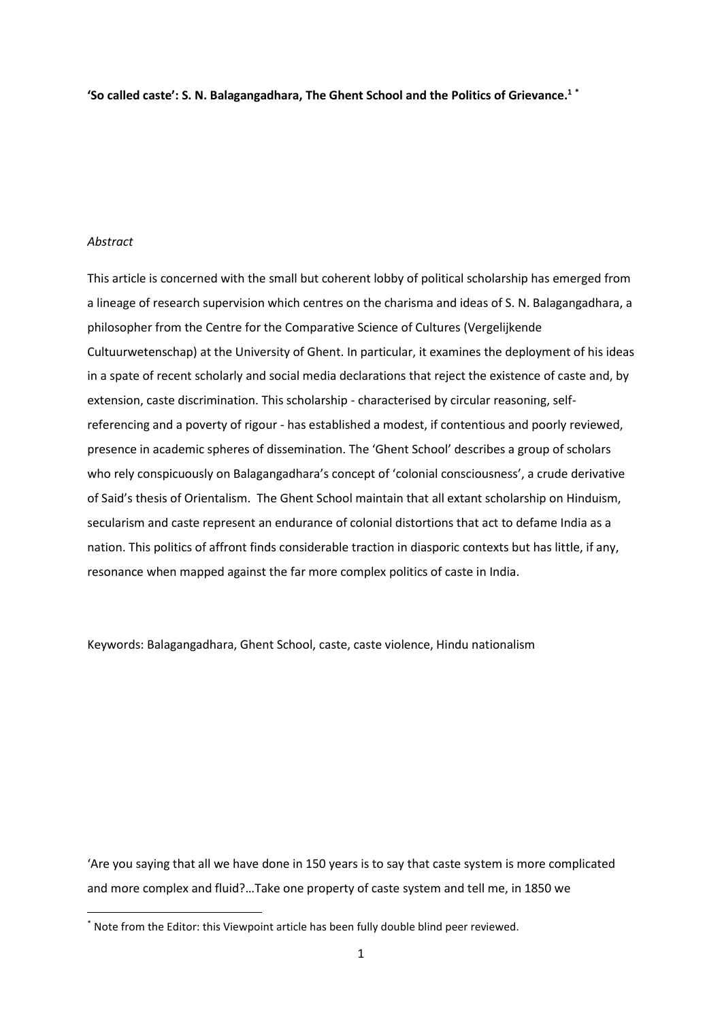**'So called caste': S. N. Balagangadhara, The Ghent School and the Politics of Grievance. 1 \***

# *Abstract*

**.** 

This article is concerned with the small but coherent lobby of political scholarship has emerged from a lineage of research supervision which centres on the charisma and ideas of S. N. Balagangadhara, a philosopher from the Centre for the Comparative Science of Cultures (Vergelijkende Cultuurwetenschap) at the University of Ghent. In particular, it examines the deployment of his ideas in a spate of recent scholarly and social media declarations that reject the existence of caste and, by extension, caste discrimination. This scholarship - characterised by circular reasoning, selfreferencing and a poverty of rigour - has established a modest, if contentious and poorly reviewed, presence in academic spheres of dissemination. The 'Ghent School' describes a group of scholars who rely conspicuously on Balagangadhara's concept of 'colonial consciousness', a crude derivative of Said's thesis of Orientalism. The Ghent School maintain that all extant scholarship on Hinduism, secularism and caste represent an endurance of colonial distortions that act to defame India as a nation. This politics of affront finds considerable traction in diasporic contexts but has little, if any, resonance when mapped against the far more complex politics of caste in India.

Keywords: Balagangadhara, Ghent School, caste, caste violence, Hindu nationalism

'Are you saying that all we have done in 150 years is to say that caste system is more complicated and more complex and fluid?…Take one property of caste system and tell me, in 1850 we

<sup>\*</sup> Note from the Editor: this Viewpoint article has been fully double blind peer reviewed.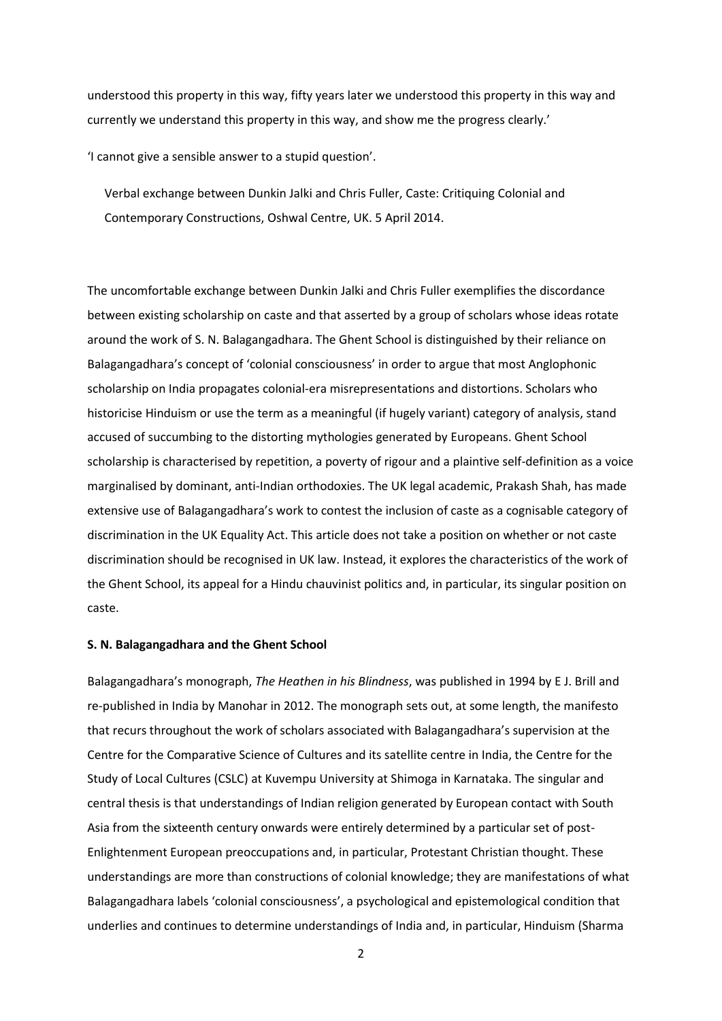understood this property in this way, fifty years later we understood this property in this way and currently we understand this property in this way, and show me the progress clearly.'

'I cannot give a sensible answer to a stupid question'.

Verbal exchange between Dunkin Jalki and Chris Fuller, Caste: Critiquing Colonial and Contemporary Constructions, Oshwal Centre, UK. 5 April 2014.

The uncomfortable exchange between Dunkin Jalki and Chris Fuller exemplifies the discordance between existing scholarship on caste and that asserted by a group of scholars whose ideas rotate around the work of S. N. Balagangadhara. The Ghent School is distinguished by their reliance on Balagangadhara's concept of 'colonial consciousness' in order to argue that most Anglophonic scholarship on India propagates colonial-era misrepresentations and distortions. Scholars who historicise Hinduism or use the term as a meaningful (if hugely variant) category of analysis, stand accused of succumbing to the distorting mythologies generated by Europeans. Ghent School scholarship is characterised by repetition, a poverty of rigour and a plaintive self-definition as a voice marginalised by dominant, anti-Indian orthodoxies. The UK legal academic, Prakash Shah, has made extensive use of Balagangadhara's work to contest the inclusion of caste as a cognisable category of discrimination in the UK Equality Act. This article does not take a position on whether or not caste discrimination should be recognised in UK law. Instead, it explores the characteristics of the work of the Ghent School, its appeal for a Hindu chauvinist politics and, in particular, its singular position on caste.

### **S. N. Balagangadhara and the Ghent School**

Balagangadhara's monograph, *The Heathen in his Blindness*, was published in 1994 by E J. Brill and re-published in India by Manohar in 2012. The monograph sets out, at some length, the manifesto that recurs throughout the work of scholars associated with Balagangadhara's supervision at the Centre for the Comparative Science of Cultures and its satellite centre in India, the Centre for the Study of Local Cultures (CSLC) at Kuvempu University at Shimoga in Karnataka. The singular and central thesis is that understandings of Indian religion generated by European contact with South Asia from the sixteenth century onwards were entirely determined by a particular set of post-Enlightenment European preoccupations and, in particular, Protestant Christian thought. These understandings are more than constructions of colonial knowledge; they are manifestations of what Balagangadhara labels 'colonial consciousness', a psychological and epistemological condition that underlies and continues to determine understandings of India and, in particular, Hinduism (Sharma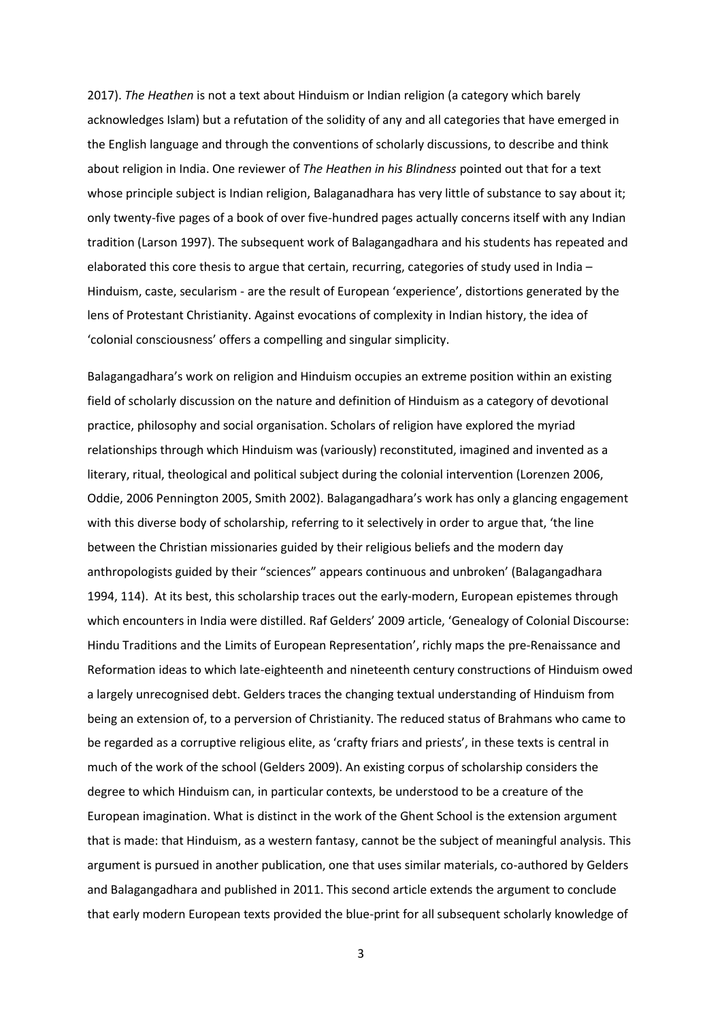2017). *The Heathen* is not a text about Hinduism or Indian religion (a category which barely acknowledges Islam) but a refutation of the solidity of any and all categories that have emerged in the English language and through the conventions of scholarly discussions, to describe and think about religion in India. One reviewer of *The Heathen in his Blindness* pointed out that for a text whose principle subject is Indian religion, Balaganadhara has very little of substance to say about it; only twenty-five pages of a book of over five-hundred pages actually concerns itself with any Indian tradition (Larson 1997). The subsequent work of Balagangadhara and his students has repeated and elaborated this core thesis to argue that certain, recurring, categories of study used in India – Hinduism, caste, secularism - are the result of European 'experience', distortions generated by the lens of Protestant Christianity. Against evocations of complexity in Indian history, the idea of 'colonial consciousness' offers a compelling and singular simplicity.

Balagangadhara's work on religion and Hinduism occupies an extreme position within an existing field of scholarly discussion on the nature and definition of Hinduism as a category of devotional practice, philosophy and social organisation. Scholars of religion have explored the myriad relationships through which Hinduism was (variously) reconstituted, imagined and invented as a literary, ritual, theological and political subject during the colonial intervention (Lorenzen 2006, Oddie, 2006 Pennington 2005, Smith 2002). Balagangadhara's work has only a glancing engagement with this diverse body of scholarship, referring to it selectively in order to argue that, 'the line between the Christian missionaries guided by their religious beliefs and the modern day anthropologists guided by their "sciences" appears continuous and unbroken' (Balagangadhara 1994, 114). At its best, this scholarship traces out the early-modern, European epistemes through which encounters in India were distilled. Raf Gelders' 2009 article, 'Genealogy of Colonial Discourse: Hindu Traditions and the Limits of European Representation', richly maps the pre-Renaissance and Reformation ideas to which late-eighteenth and nineteenth century constructions of Hinduism owed a largely unrecognised debt. Gelders traces the changing textual understanding of Hinduism from being an extension of, to a perversion of Christianity. The reduced status of Brahmans who came to be regarded as a corruptive religious elite, as 'crafty friars and priests', in these texts is central in much of the work of the school (Gelders 2009). An existing corpus of scholarship considers the degree to which Hinduism can, in particular contexts, be understood to be a creature of the European imagination. What is distinct in the work of the Ghent School is the extension argument that is made: that Hinduism, as a western fantasy, cannot be the subject of meaningful analysis. This argument is pursued in another publication, one that uses similar materials, co-authored by Gelders and Balagangadhara and published in 2011. This second article extends the argument to conclude that early modern European texts provided the blue-print for all subsequent scholarly knowledge of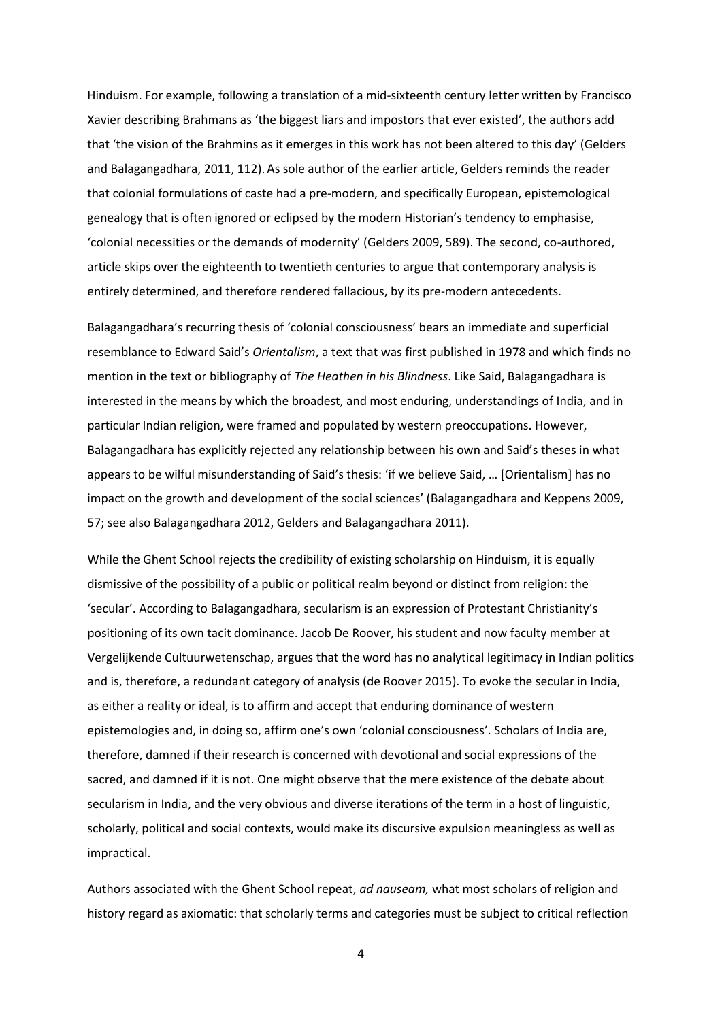Hinduism. For example, following a translation of a mid-sixteenth century letter written by Francisco Xavier describing Brahmans as 'the biggest liars and impostors that ever existed', the authors add that 'the vision of the Brahmins as it emerges in this work has not been altered to this day' (Gelders and Balagangadhara, 2011, 112). As sole author of the earlier article, Gelders reminds the reader that colonial formulations of caste had a pre-modern, and specifically European, epistemological genealogy that is often ignored or eclipsed by the modern Historian's tendency to emphasise, 'colonial necessities or the demands of modernity' (Gelders 2009, 589). The second, co-authored, article skips over the eighteenth to twentieth centuries to argue that contemporary analysis is entirely determined, and therefore rendered fallacious, by its pre-modern antecedents.

Balagangadhara's recurring thesis of 'colonial consciousness' bears an immediate and superficial resemblance to Edward Said's *Orientalism*, a text that was first published in 1978 and which finds no mention in the text or bibliography of *The Heathen in his Blindness*. Like Said, Balagangadhara is interested in the means by which the broadest, and most enduring, understandings of India, and in particular Indian religion, were framed and populated by western preoccupations. However, Balagangadhara has explicitly rejected any relationship between his own and Said's theses in what appears to be wilful misunderstanding of Said's thesis: 'if we believe Said, … [Orientalism] has no impact on the growth and development of the social sciences' (Balagangadhara and Keppens 2009, 57; see also Balagangadhara 2012, Gelders and Balagangadhara 2011).

While the Ghent School rejects the credibility of existing scholarship on Hinduism, it is equally dismissive of the possibility of a public or political realm beyond or distinct from religion: the 'secular'. According to Balagangadhara, secularism is an expression of Protestant Christianity's positioning of its own tacit dominance. Jacob De Roover, his student and now faculty member at Vergelijkende Cultuurwetenschap, argues that the word has no analytical legitimacy in Indian politics and is, therefore, a redundant category of analysis (de Roover 2015). To evoke the secular in India, as either a reality or ideal, is to affirm and accept that enduring dominance of western epistemologies and, in doing so, affirm one's own 'colonial consciousness'. Scholars of India are, therefore, damned if their research is concerned with devotional and social expressions of the sacred, and damned if it is not. One might observe that the mere existence of the debate about secularism in India, and the very obvious and diverse iterations of the term in a host of linguistic, scholarly, political and social contexts, would make its discursive expulsion meaningless as well as impractical.

Authors associated with the Ghent School repeat, *ad nauseam,* what most scholars of religion and history regard as axiomatic: that scholarly terms and categories must be subject to critical reflection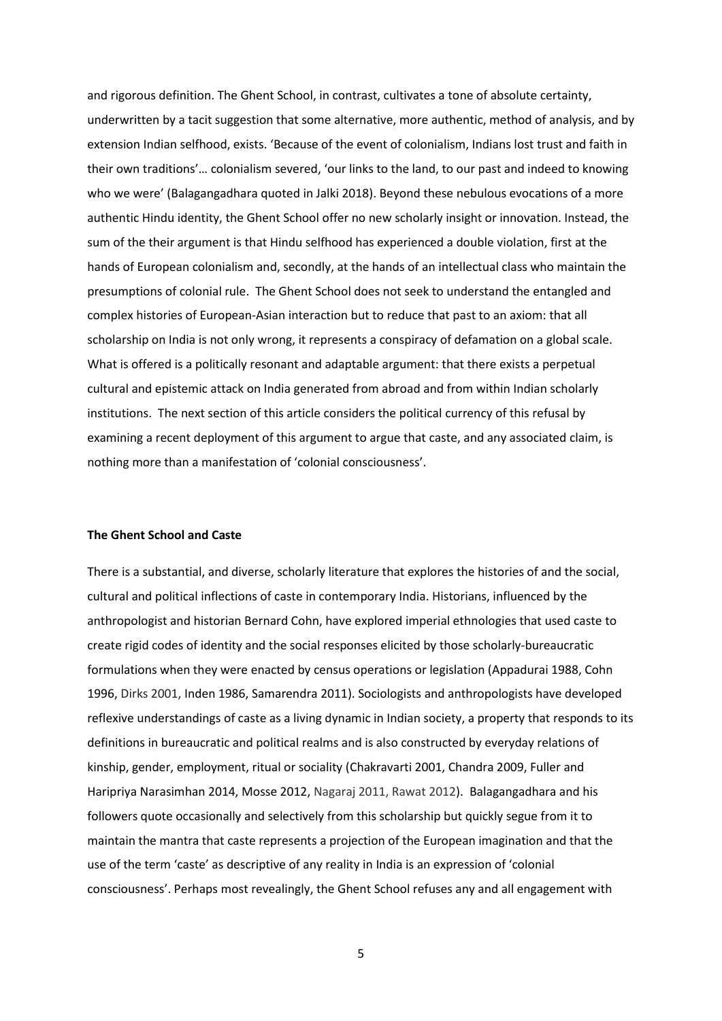and rigorous definition. The Ghent School, in contrast, cultivates a tone of absolute certainty, underwritten by a tacit suggestion that some alternative, more authentic, method of analysis, and by extension Indian selfhood, exists. 'Because of the event of colonialism, Indians lost trust and faith in their own traditions'… colonialism severed, 'our links to the land, to our past and indeed to knowing who we were' (Balagangadhara quoted in Jalki 2018). Beyond these nebulous evocations of a more authentic Hindu identity, the Ghent School offer no new scholarly insight or innovation. Instead, the sum of the their argument is that Hindu selfhood has experienced a double violation, first at the hands of European colonialism and, secondly, at the hands of an intellectual class who maintain the presumptions of colonial rule. The Ghent School does not seek to understand the entangled and complex histories of European-Asian interaction but to reduce that past to an axiom: that all scholarship on India is not only wrong, it represents a conspiracy of defamation on a global scale. What is offered is a politically resonant and adaptable argument: that there exists a perpetual cultural and epistemic attack on India generated from abroad and from within Indian scholarly institutions. The next section of this article considers the political currency of this refusal by examining a recent deployment of this argument to argue that caste, and any associated claim, is nothing more than a manifestation of 'colonial consciousness'.

## **The Ghent School and Caste**

There is a substantial, and diverse, scholarly literature that explores the histories of and the social, cultural and political inflections of caste in contemporary India. Historians, influenced by the anthropologist and historian Bernard Cohn, have explored imperial ethnologies that used caste to create rigid codes of identity and the social responses elicited by those scholarly-bureaucratic formulations when they were enacted by census operations or legislation (Appadurai 1988, Cohn 1996, Dirks 2001, Inden 1986, Samarendra 2011). Sociologists and anthropologists have developed reflexive understandings of caste as a living dynamic in Indian society, a property that responds to its definitions in bureaucratic and political realms and is also constructed by everyday relations of kinship, gender, employment, ritual or sociality (Chakravarti 2001, Chandra 2009, Fuller and Haripriya Narasimhan 2014, Mosse 2012, Nagaraj 2011, Rawat 2012). Balagangadhara and his followers quote occasionally and selectively from this scholarship but quickly segue from it to maintain the mantra that caste represents a projection of the European imagination and that the use of the term 'caste' as descriptive of any reality in India is an expression of 'colonial consciousness'. Perhaps most revealingly, the Ghent School refuses any and all engagement with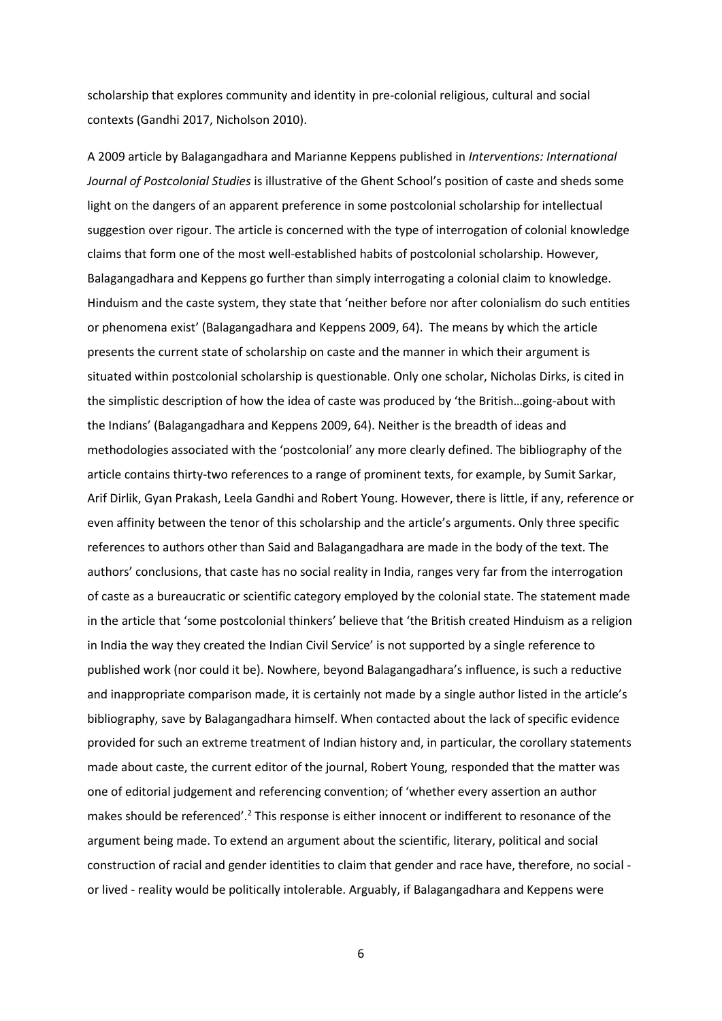scholarship that explores community and identity in pre-colonial religious, cultural and social contexts (Gandhi 2017, Nicholson 2010).

A 2009 article by Balagangadhara and Marianne Keppens published in *Interventions: International Journal of Postcolonial Studies* is illustrative of the Ghent School's position of caste and sheds some light on the dangers of an apparent preference in some postcolonial scholarship for intellectual suggestion over rigour. The article is concerned with the type of interrogation of colonial knowledge claims that form one of the most well-established habits of postcolonial scholarship. However, Balagangadhara and Keppens go further than simply interrogating a colonial claim to knowledge. Hinduism and the caste system, they state that 'neither before nor after colonialism do such entities or phenomena exist' (Balagangadhara and Keppens 2009, 64). The means by which the article presents the current state of scholarship on caste and the manner in which their argument is situated within postcolonial scholarship is questionable. Only one scholar, Nicholas Dirks, is cited in the simplistic description of how the idea of caste was produced by 'the British…going-about with the Indians' (Balagangadhara and Keppens 2009, 64). Neither is the breadth of ideas and methodologies associated with the 'postcolonial' any more clearly defined. The bibliography of the article contains thirty-two references to a range of prominent texts, for example, by Sumit Sarkar, Arif Dirlik, Gyan Prakash, Leela Gandhi and Robert Young. However, there is little, if any, reference or even affinity between the tenor of this scholarship and the article's arguments. Only three specific references to authors other than Said and Balagangadhara are made in the body of the text. The authors' conclusions, that caste has no social reality in India, ranges very far from the interrogation of caste as a bureaucratic or scientific category employed by the colonial state. The statement made in the article that 'some postcolonial thinkers' believe that 'the British created Hinduism as a religion in India the way they created the Indian Civil Service' is not supported by a single reference to published work (nor could it be). Nowhere, beyond Balagangadhara's influence, is such a reductive and inappropriate comparison made, it is certainly not made by a single author listed in the article's bibliography, save by Balagangadhara himself. When contacted about the lack of specific evidence provided for such an extreme treatment of Indian history and, in particular, the corollary statements made about caste, the current editor of the journal, Robert Young, responded that the matter was one of editorial judgement and referencing convention; of 'whether every assertion an author makes should be referenced'.<sup>2</sup> This response is either innocent or indifferent to resonance of the argument being made. To extend an argument about the scientific, literary, political and social construction of racial and gender identities to claim that gender and race have, therefore, no social or lived - reality would be politically intolerable. Arguably, if Balagangadhara and Keppens were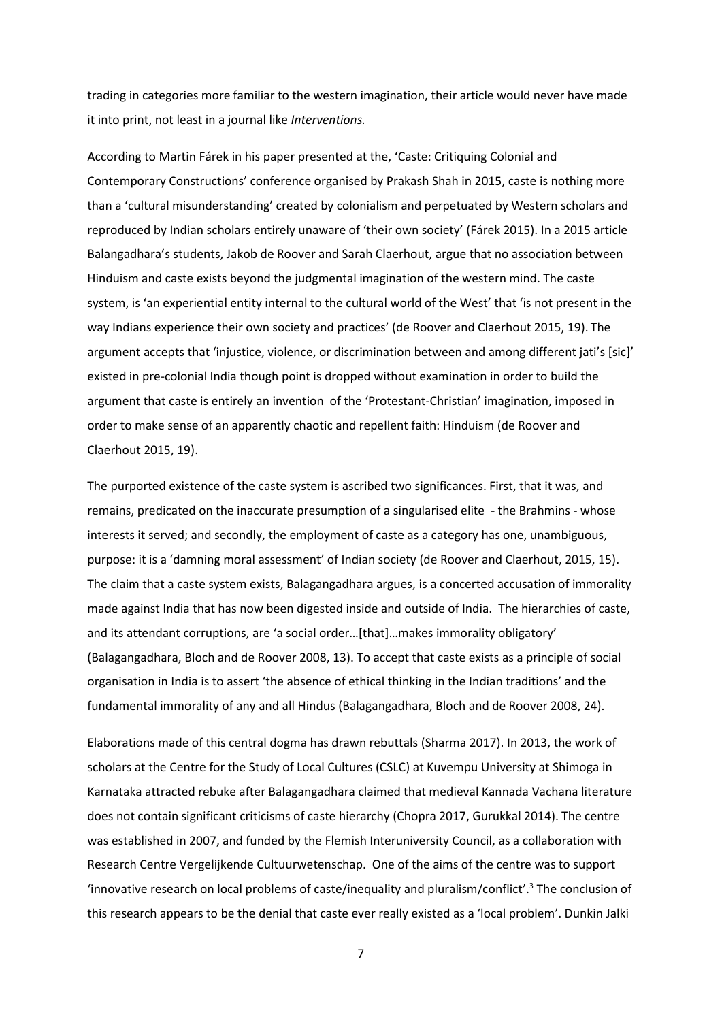trading in categories more familiar to the western imagination, their article would never have made it into print, not least in a journal like *Interventions.* 

According to Martin Fárek in his paper presented at the, 'Caste: Critiquing Colonial and Contemporary Constructions' conference organised by Prakash Shah in 2015, caste is nothing more than a 'cultural misunderstanding' created by colonialism and perpetuated by Western scholars and reproduced by Indian scholars entirely unaware of 'their own society' (Fárek 2015). In a 2015 article Balangadhara's students, Jakob de Roover and Sarah Claerhout, argue that no association between Hinduism and caste exists beyond the judgmental imagination of the western mind. The caste system, is 'an experiential entity internal to the cultural world of the West' that 'is not present in the way Indians experience their own society and practices' (de Roover and Claerhout 2015, 19). The argument accepts that 'injustice, violence, or discrimination between and among different jati's [sic]' existed in pre-colonial India though point is dropped without examination in order to build the argument that caste is entirely an invention of the 'Protestant-Christian' imagination, imposed in order to make sense of an apparently chaotic and repellent faith: Hinduism (de Roover and Claerhout 2015, 19).

The purported existence of the caste system is ascribed two significances. First, that it was, and remains, predicated on the inaccurate presumption of a singularised elite - the Brahmins - whose interests it served; and secondly, the employment of caste as a category has one, unambiguous, purpose: it is a 'damning moral assessment' of Indian society (de Roover and Claerhout, 2015, 15). The claim that a caste system exists, Balagangadhara argues, is a concerted accusation of immorality made against India that has now been digested inside and outside of India. The hierarchies of caste, and its attendant corruptions, are 'a social order…[that]…makes immorality obligatory' (Balagangadhara, Bloch and de Roover 2008, 13). To accept that caste exists as a principle of social organisation in India is to assert 'the absence of ethical thinking in the Indian traditions' and the fundamental immorality of any and all Hindus (Balagangadhara, Bloch and de Roover 2008, 24).

Elaborations made of this central dogma has drawn rebuttals (Sharma 2017). In 2013, the work of scholars at the Centre for the Study of Local Cultures (CSLC) at Kuvempu University at Shimoga in Karnataka attracted rebuke after Balagangadhara claimed that medieval Kannada Vachana literature does not contain significant criticisms of caste hierarchy (Chopra 2017, Gurukkal 2014). The centre was established in 2007, and funded by the Flemish Interuniversity Council, as a collaboration with Research Centre Vergelijkende Cultuurwetenschap. One of the aims of the centre was to support 'innovative research on local problems of caste/inequality and pluralism/conflict'.<sup>3</sup> The conclusion of this research appears to be the denial that caste ever really existed as a 'local problem'. Dunkin Jalki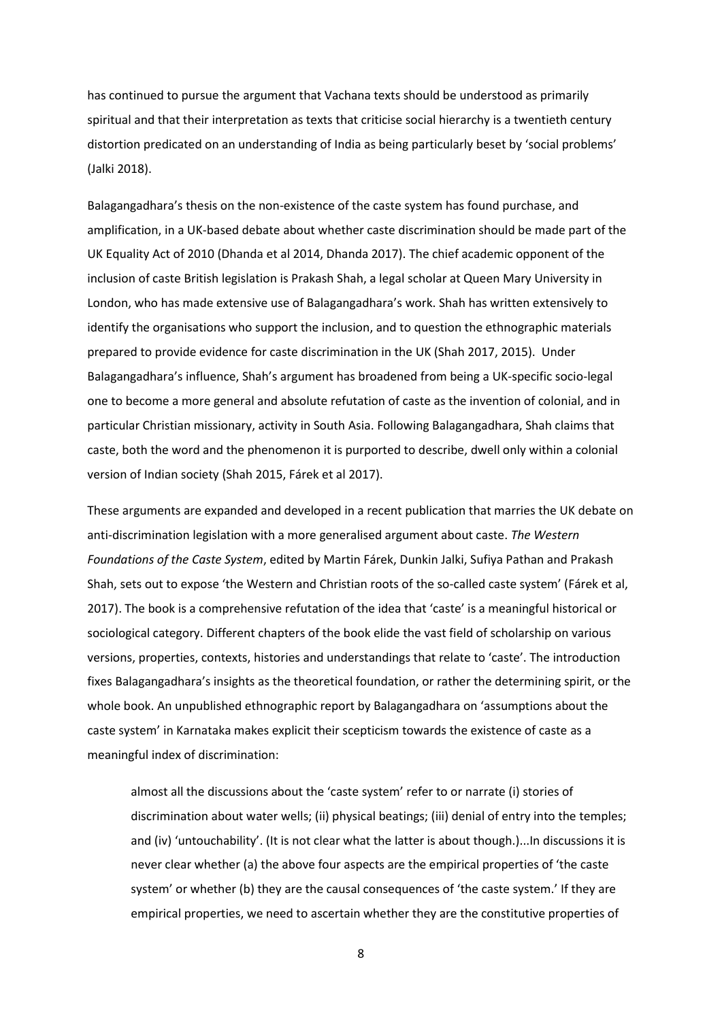has continued to pursue the argument that Vachana texts should be understood as primarily spiritual and that their interpretation as texts that criticise social hierarchy is a twentieth century distortion predicated on an understanding of India as being particularly beset by 'social problems' (Jalki 2018).

Balagangadhara's thesis on the non-existence of the caste system has found purchase, and amplification, in a UK-based debate about whether caste discrimination should be made part of the UK Equality Act of 2010 (Dhanda et al 2014, Dhanda 2017). The chief academic opponent of the inclusion of caste British legislation is Prakash Shah, a legal scholar at Queen Mary University in London, who has made extensive use of Balagangadhara's work. Shah has written extensively to identify the organisations who support the inclusion, and to question the ethnographic materials prepared to provide evidence for caste discrimination in the UK (Shah 2017, 2015). Under Balagangadhara's influence, Shah's argument has broadened from being a UK-specific socio-legal one to become a more general and absolute refutation of caste as the invention of colonial, and in particular Christian missionary, activity in South Asia. Following Balagangadhara, Shah claims that caste, both the word and the phenomenon it is purported to describe, dwell only within a colonial version of Indian society (Shah 2015, Fárek et al 2017).

These arguments are expanded and developed in a recent publication that marries the UK debate on anti-discrimination legislation with a more generalised argument about caste. *The Western Foundations of the Caste System*, edited by Martin Fárek, Dunkin Jalki, Sufiya Pathan and Prakash Shah, sets out to expose 'the Western and Christian roots of the so-called caste system' (Fárek et al, 2017). The book is a comprehensive refutation of the idea that 'caste' is a meaningful historical or sociological category. Different chapters of the book elide the vast field of scholarship on various versions, properties, contexts, histories and understandings that relate to 'caste'. The introduction fixes Balagangadhara's insights as the theoretical foundation, or rather the determining spirit, or the whole book. An unpublished ethnographic report by Balagangadhara on 'assumptions about the caste system' in Karnataka makes explicit their scepticism towards the existence of caste as a meaningful index of discrimination:

almost all the discussions about the 'caste system' refer to or narrate (i) stories of discrimination about water wells; (ii) physical beatings; (iii) denial of entry into the temples; and (iv) 'untouchability'. (It is not clear what the latter is about though.)...In discussions it is never clear whether (a) the above four aspects are the empirical properties of 'the caste system' or whether (b) they are the causal consequences of 'the caste system.' If they are empirical properties, we need to ascertain whether they are the constitutive properties of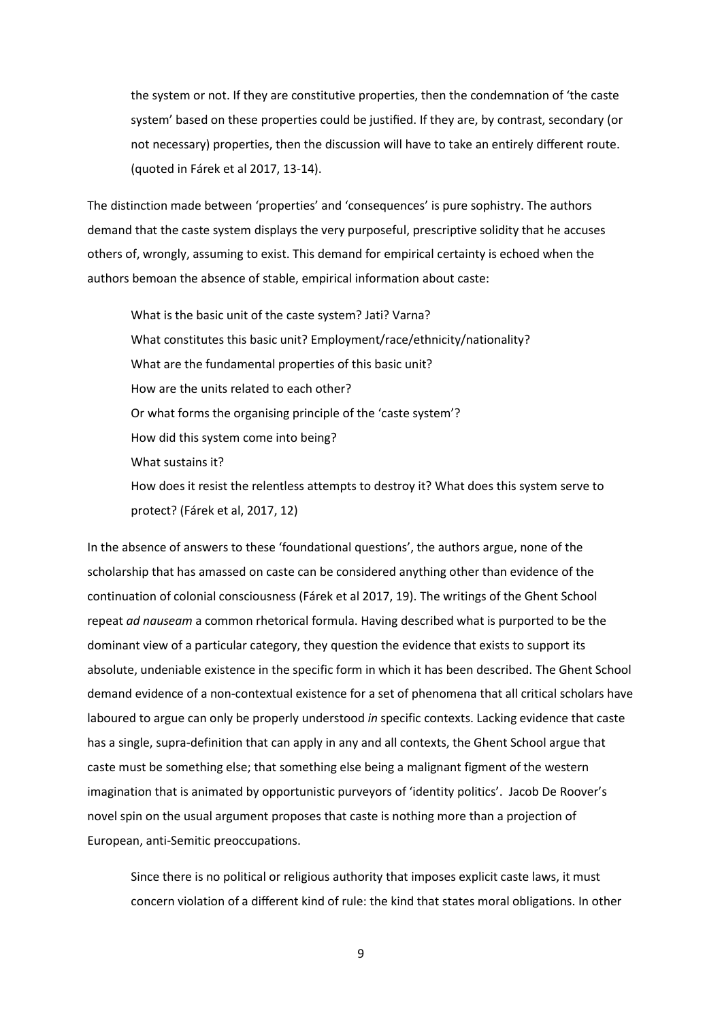the system or not. If they are constitutive properties, then the condemnation of 'the caste system' based on these properties could be justified. If they are, by contrast, secondary (or not necessary) properties, then the discussion will have to take an entirely different route. (quoted in Fárek et al 2017, 13-14).

The distinction made between 'properties' and 'consequences' is pure sophistry. The authors demand that the caste system displays the very purposeful, prescriptive solidity that he accuses others of, wrongly, assuming to exist. This demand for empirical certainty is echoed when the authors bemoan the absence of stable, empirical information about caste:

What is the basic unit of the caste system? Jati? Varna? What constitutes this basic unit? Employment/race/ethnicity/nationality? What are the fundamental properties of this basic unit? How are the units related to each other? Or what forms the organising principle of the 'caste system'? How did this system come into being? What sustains it? How does it resist the relentless attempts to destroy it? What does this system serve to

protect? (Fárek et al, 2017, 12)

In the absence of answers to these 'foundational questions', the authors argue, none of the scholarship that has amassed on caste can be considered anything other than evidence of the continuation of colonial consciousness (Fárek et al 2017, 19). The writings of the Ghent School repeat *ad nauseam* a common rhetorical formula. Having described what is purported to be the dominant view of a particular category, they question the evidence that exists to support its absolute, undeniable existence in the specific form in which it has been described. The Ghent School demand evidence of a non-contextual existence for a set of phenomena that all critical scholars have laboured to argue can only be properly understood *in* specific contexts. Lacking evidence that caste has a single, supra-definition that can apply in any and all contexts, the Ghent School argue that caste must be something else; that something else being a malignant figment of the western imagination that is animated by opportunistic purveyors of 'identity politics'. Jacob De Roover's novel spin on the usual argument proposes that caste is nothing more than a projection of European, anti-Semitic preoccupations.

Since there is no political or religious authority that imposes explicit caste laws, it must concern violation of a different kind of rule: the kind that states moral obligations. In other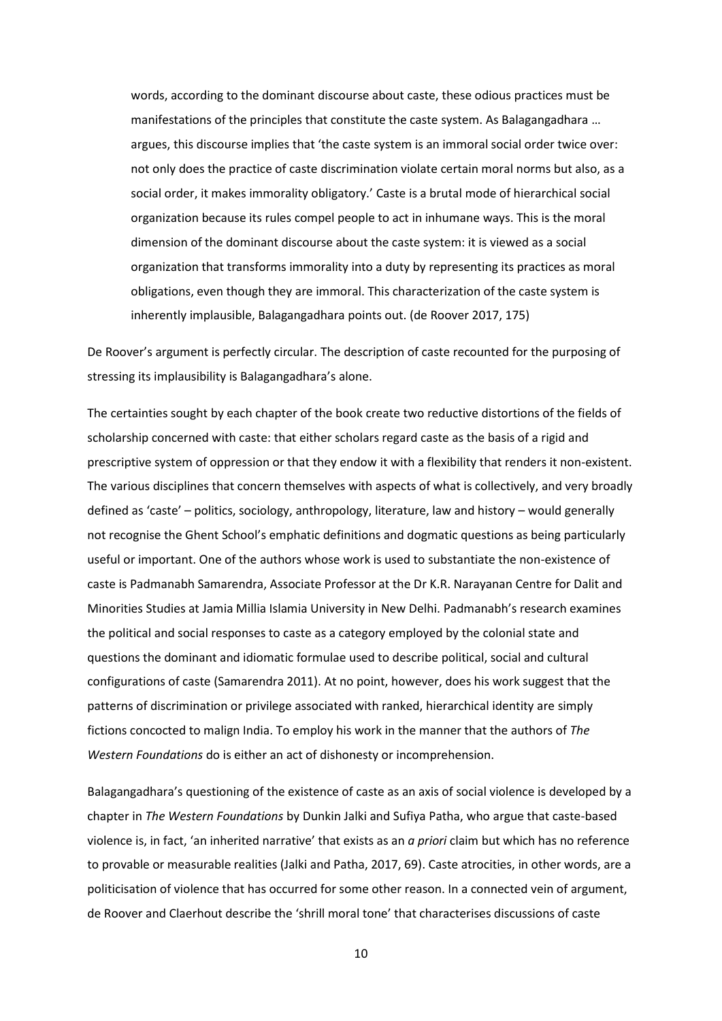words, according to the dominant discourse about caste, these odious practices must be manifestations of the principles that constitute the caste system. As Balagangadhara … argues, this discourse implies that 'the caste system is an immoral social order twice over: not only does the practice of caste discrimination violate certain moral norms but also, as a social order, it makes immorality obligatory.' Caste is a brutal mode of hierarchical social organization because its rules compel people to act in inhumane ways. This is the moral dimension of the dominant discourse about the caste system: it is viewed as a social organization that transforms immorality into a duty by representing its practices as moral obligations, even though they are immoral. This characterization of the caste system is inherently implausible, Balagangadhara points out. (de Roover 2017, 175)

De Roover's argument is perfectly circular. The description of caste recounted for the purposing of stressing its implausibility is Balagangadhara's alone.

The certainties sought by each chapter of the book create two reductive distortions of the fields of scholarship concerned with caste: that either scholars regard caste as the basis of a rigid and prescriptive system of oppression or that they endow it with a flexibility that renders it non-existent. The various disciplines that concern themselves with aspects of what is collectively, and very broadly defined as 'caste' – politics, sociology, anthropology, literature, law and history – would generally not recognise the Ghent School's emphatic definitions and dogmatic questions as being particularly useful or important. One of the authors whose work is used to substantiate the non-existence of caste is Padmanabh Samarendra, Associate Professor at the Dr K.R. Narayanan Centre for Dalit and Minorities Studies at Jamia Millia Islamia University in New Delhi. Padmanabh's research examines the political and social responses to caste as a category employed by the colonial state and questions the dominant and idiomatic formulae used to describe political, social and cultural configurations of caste (Samarendra 2011). At no point, however, does his work suggest that the patterns of discrimination or privilege associated with ranked, hierarchical identity are simply fictions concocted to malign India. To employ his work in the manner that the authors of *The Western Foundations* do is either an act of dishonesty or incomprehension.

Balagangadhara's questioning of the existence of caste as an axis of social violence is developed by a chapter in *The Western Foundations* by Dunkin Jalki and Sufiya Patha, who argue that caste-based violence is, in fact, 'an inherited narrative' that exists as an *a priori* claim but which has no reference to provable or measurable realities (Jalki and Patha, 2017, 69). Caste atrocities, in other words, are a politicisation of violence that has occurred for some other reason. In a connected vein of argument, de Roover and Claerhout describe the 'shrill moral tone' that characterises discussions of caste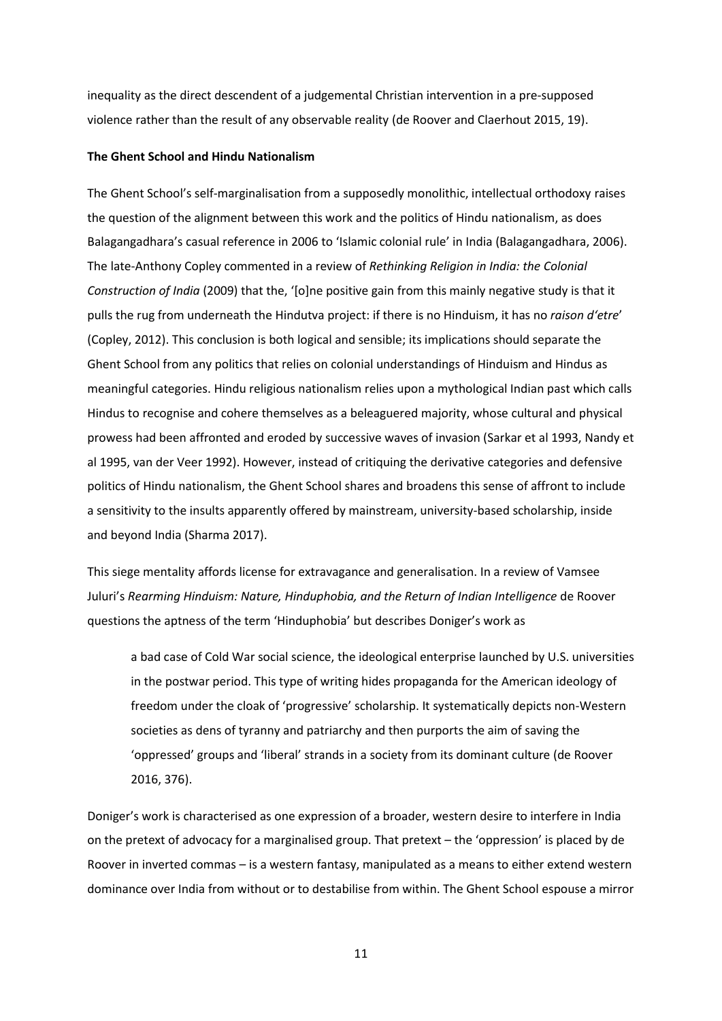inequality as the direct descendent of a judgemental Christian intervention in a pre-supposed violence rather than the result of any observable reality (de Roover and Claerhout 2015, 19).

#### **The Ghent School and Hindu Nationalism**

The Ghent School's self-marginalisation from a supposedly monolithic, intellectual orthodoxy raises the question of the alignment between this work and the politics of Hindu nationalism, as does Balagangadhara's casual reference in 2006 to 'Islamic colonial rule' in India (Balagangadhara, 2006). The late-Anthony Copley commented in a review of *Rethinking Religion in India: the Colonial Construction of India* (2009) that the, '[o]ne positive gain from this mainly negative study is that it pulls the rug from underneath the Hindutva project: if there is no Hinduism, it has no *raison d'etre*' (Copley, 2012). This conclusion is both logical and sensible; its implications should separate the Ghent School from any politics that relies on colonial understandings of Hinduism and Hindus as meaningful categories. Hindu religious nationalism relies upon a mythological Indian past which calls Hindus to recognise and cohere themselves as a beleaguered majority, whose cultural and physical prowess had been affronted and eroded by successive waves of invasion (Sarkar et al 1993, Nandy et al 1995, van der Veer 1992). However, instead of critiquing the derivative categories and defensive politics of Hindu nationalism, the Ghent School shares and broadens this sense of affront to include a sensitivity to the insults apparently offered by mainstream, university-based scholarship, inside and beyond India (Sharma 2017).

This siege mentality affords license for extravagance and generalisation. In a review of Vamsee Juluri's *Rearming Hinduism: Nature, Hinduphobia, and the Return of Indian Intelligence* de Roover questions the aptness of the term 'Hinduphobia' but describes Doniger's work as

a bad case of Cold War social science, the ideological enterprise launched by U.S. universities in the postwar period. This type of writing hides propaganda for the American ideology of freedom under the cloak of 'progressive' scholarship. It systematically depicts non-Western societies as dens of tyranny and patriarchy and then purports the aim of saving the 'oppressed' groups and 'liberal' strands in a society from its dominant culture (de Roover 2016, 376).

Doniger's work is characterised as one expression of a broader, western desire to interfere in India on the pretext of advocacy for a marginalised group. That pretext – the 'oppression' is placed by de Roover in inverted commas – is a western fantasy, manipulated as a means to either extend western dominance over India from without or to destabilise from within. The Ghent School espouse a mirror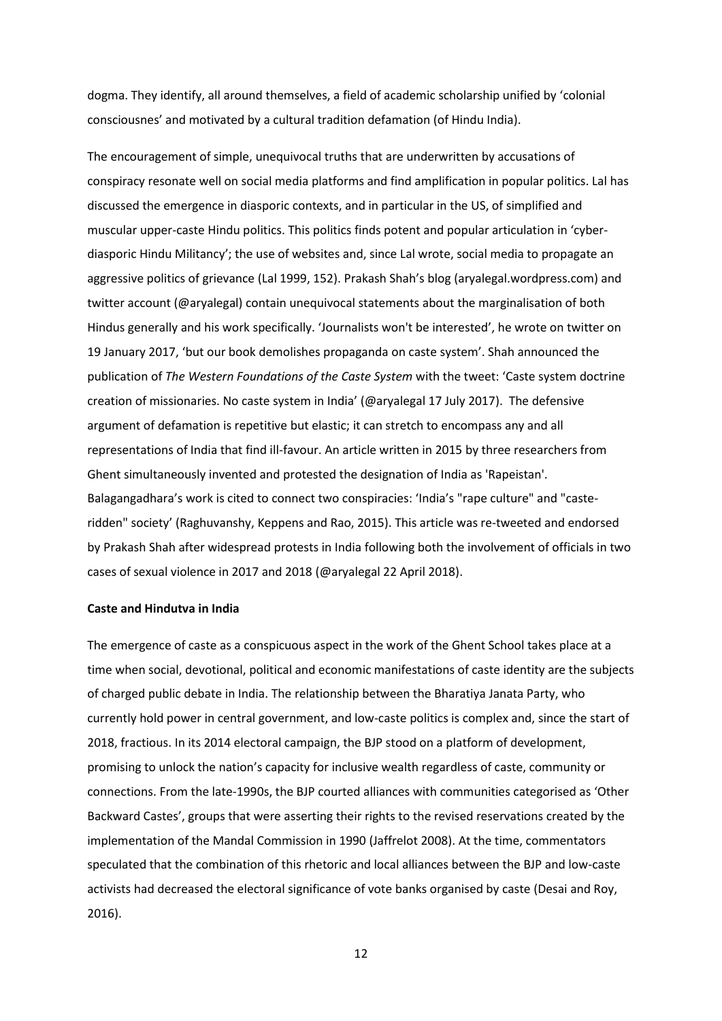dogma. They identify, all around themselves, a field of academic scholarship unified by 'colonial consciousnes' and motivated by a cultural tradition defamation (of Hindu India).

The encouragement of simple, unequivocal truths that are underwritten by accusations of conspiracy resonate well on social media platforms and find amplification in popular politics. Lal has discussed the emergence in diasporic contexts, and in particular in the US, of simplified and muscular upper-caste Hindu politics. This politics finds potent and popular articulation in 'cyberdiasporic Hindu Militancy'; the use of websites and, since Lal wrote, social media to propagate an aggressive politics of grievance (Lal 1999, 152). Prakash Shah's blog (aryalegal.wordpress.com) and twitter account (@aryalegal) contain unequivocal statements about the marginalisation of both Hindus generally and his work specifically. 'Journalists won't be interested', he wrote on twitter on 19 January 2017, 'but our book demolishes propaganda on caste system'. Shah announced the publication of *The Western Foundations of the Caste System* with the tweet: 'Caste system doctrine creation of missionaries. No caste system in India' (@aryalegal 17 July 2017). The defensive argument of defamation is repetitive but elastic; it can stretch to encompass any and all representations of India that find ill-favour. An article written in 2015 by three researchers from Ghent simultaneously invented and protested the designation of India as 'Rapeistan'. Balagangadhara's work is cited to connect two conspiracies: 'India's "rape culture" and "casteridden" society' (Raghuvanshy, Keppens and Rao, 2015). This article was re-tweeted and endorsed by Prakash Shah after widespread protests in India following both the involvement of officials in two cases of sexual violence in 2017 and 2018 (@aryalegal 22 April 2018).

#### **Caste and Hindutva in India**

The emergence of caste as a conspicuous aspect in the work of the Ghent School takes place at a time when social, devotional, political and economic manifestations of caste identity are the subjects of charged public debate in India. The relationship between the Bharatiya Janata Party, who currently hold power in central government, and low-caste politics is complex and, since the start of 2018, fractious. In its 2014 electoral campaign, the BJP stood on a platform of development, promising to unlock the nation's capacity for inclusive wealth regardless of caste, community or connections. From the late-1990s, the BJP courted alliances with communities categorised as 'Other Backward Castes', groups that were asserting their rights to the revised reservations created by the implementation of the Mandal Commission in 1990 (Jaffrelot 2008). At the time, commentators speculated that the combination of this rhetoric and local alliances between the BJP and low-caste activists had decreased the electoral significance of vote banks organised by caste (Desai and Roy, 2016).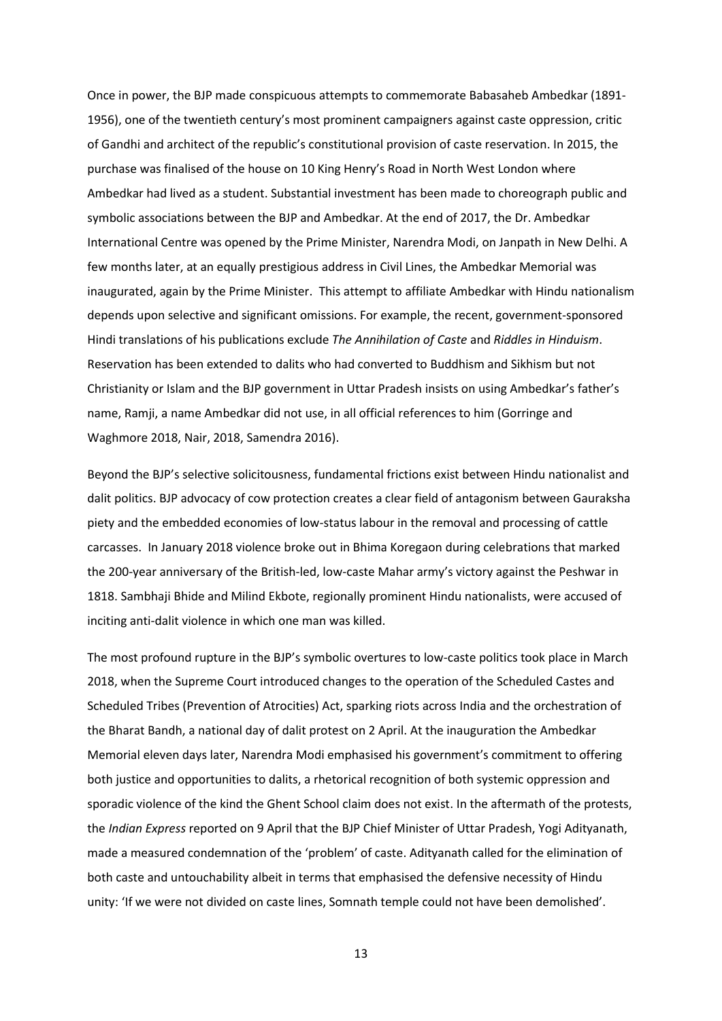Once in power, the BJP made conspicuous attempts to commemorate Babasaheb Ambedkar (1891- 1956), one of the twentieth century's most prominent campaigners against caste oppression, critic of Gandhi and architect of the republic's constitutional provision of caste reservation. In 2015, the purchase was finalised of the house on 10 King Henry's Road in North West London where Ambedkar had lived as a student. Substantial investment has been made to choreograph public and symbolic associations between the BJP and Ambedkar. At the end of 2017, the Dr. Ambedkar International Centre was opened by the Prime Minister, Narendra Modi, on Janpath in New Delhi. A few months later, at an equally prestigious address in Civil Lines, the Ambedkar Memorial was inaugurated, again by the Prime Minister. This attempt to affiliate Ambedkar with Hindu nationalism depends upon selective and significant omissions. For example, the recent, government-sponsored Hindi translations of his publications exclude *The Annihilation of Caste* and *Riddles in Hinduism*. Reservation has been extended to dalits who had converted to Buddhism and Sikhism but not Christianity or Islam and the BJP government in Uttar Pradesh insists on using Ambedkar's father's name, Ramji, a name Ambedkar did not use, in all official references to him (Gorringe and Waghmore 2018, Nair, 2018, Samendra 2016).

Beyond the BJP's selective solicitousness, fundamental frictions exist between Hindu nationalist and dalit politics. BJP advocacy of cow protection creates a clear field of antagonism between Gauraksha piety and the embedded economies of low-status labour in the removal and processing of cattle carcasses. In January 2018 violence broke out in Bhima Koregaon during celebrations that marked the 200-year anniversary of the British-led, low-caste Mahar army's victory against the Peshwar in 1818. Sambhaji Bhide and Milind Ekbote, regionally prominent Hindu nationalists, were accused of inciting anti-dalit violence in which one man was killed.

The most profound rupture in the BJP's symbolic overtures to low-caste politics took place in March 2018, when the Supreme Court introduced changes to the operation of the Scheduled Castes and Scheduled Tribes (Prevention of Atrocities) Act, sparking riots across India and the orchestration of the Bharat Bandh, a national day of dalit protest on 2 April. At the inauguration the Ambedkar Memorial eleven days later, Narendra Modi emphasised his government's commitment to offering both justice and opportunities to dalits, a rhetorical recognition of both systemic oppression and sporadic violence of the kind the Ghent School claim does not exist. In the aftermath of the protests, the *Indian Express* reported on 9 April that the BJP Chief Minister of Uttar Pradesh, Yogi Adityanath, made a measured condemnation of the 'problem' of caste. Adityanath called for the elimination of both caste and untouchability albeit in terms that emphasised the defensive necessity of Hindu unity: 'If we were not divided on caste lines, Somnath temple could not have been demolished'.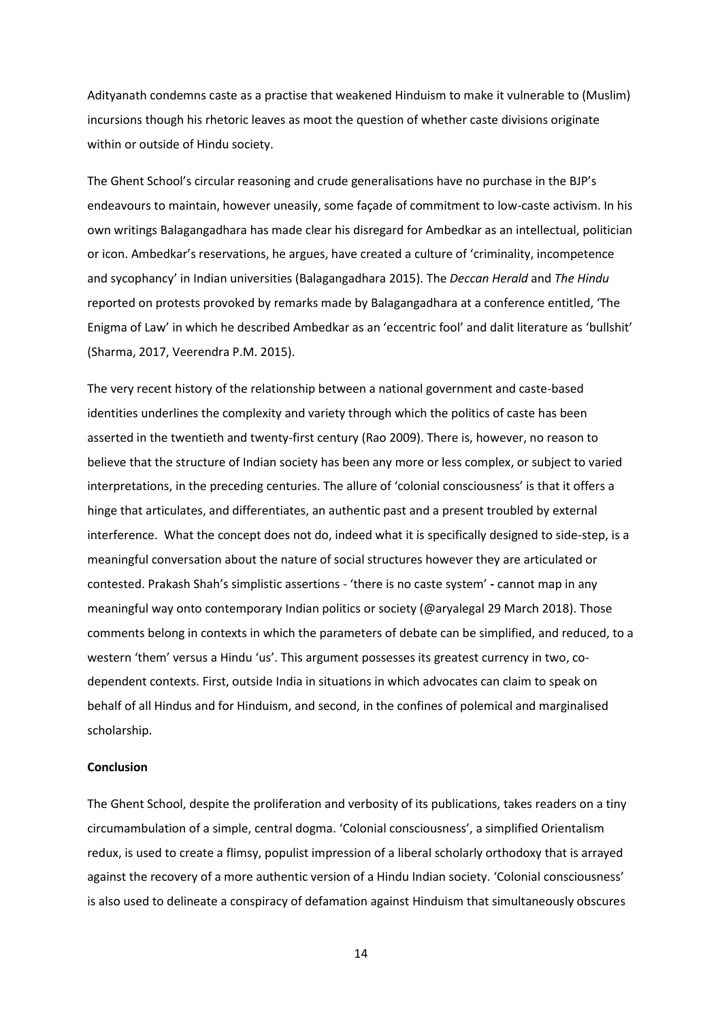Adityanath condemns caste as a practise that weakened Hinduism to make it vulnerable to (Muslim) incursions though his rhetoric leaves as moot the question of whether caste divisions originate within or outside of Hindu society.

The Ghent School's circular reasoning and crude generalisations have no purchase in the BJP's endeavours to maintain, however uneasily, some façade of commitment to low-caste activism. In his own writings Balagangadhara has made clear his disregard for Ambedkar as an intellectual, politician or icon. Ambedkar's reservations, he argues, have created a culture of 'criminality, incompetence and sycophancy' in Indian universities (Balagangadhara 2015). The *Deccan Herald* and *The Hindu*  reported on protests provoked by remarks made by Balagangadhara at a conference entitled, 'The Enigma of Law' in which he described Ambedkar as an 'eccentric fool' and dalit literature as 'bullshit' (Sharma, 2017, Veerendra P.M. 2015).

The very recent history of the relationship between a national government and caste-based identities underlines the complexity and variety through which the politics of caste has been asserted in the twentieth and twenty-first century (Rao 2009). There is, however, no reason to believe that the structure of Indian society has been any more or less complex, or subject to varied interpretations, in the preceding centuries. The allure of 'colonial consciousness' is that it offers a hinge that articulates, and differentiates, an authentic past and a present troubled by external interference. What the concept does not do, indeed what it is specifically designed to side-step, is a meaningful conversation about the nature of social structures however they are articulated or contested. Prakash Shah's simplistic assertions - 'there is no caste system' **-** cannot map in any meaningful way onto contemporary Indian politics or society (@aryalegal 29 March 2018). Those comments belong in contexts in which the parameters of debate can be simplified, and reduced, to a western 'them' versus a Hindu 'us'. This argument possesses its greatest currency in two, codependent contexts. First, outside India in situations in which advocates can claim to speak on behalf of all Hindus and for Hinduism, and second, in the confines of polemical and marginalised scholarship.

# **Conclusion**

The Ghent School, despite the proliferation and verbosity of its publications, takes readers on a tiny circumambulation of a simple, central dogma. 'Colonial consciousness', a simplified Orientalism redux, is used to create a flimsy, populist impression of a liberal scholarly orthodoxy that is arrayed against the recovery of a more authentic version of a Hindu Indian society. 'Colonial consciousness' is also used to delineate a conspiracy of defamation against Hinduism that simultaneously obscures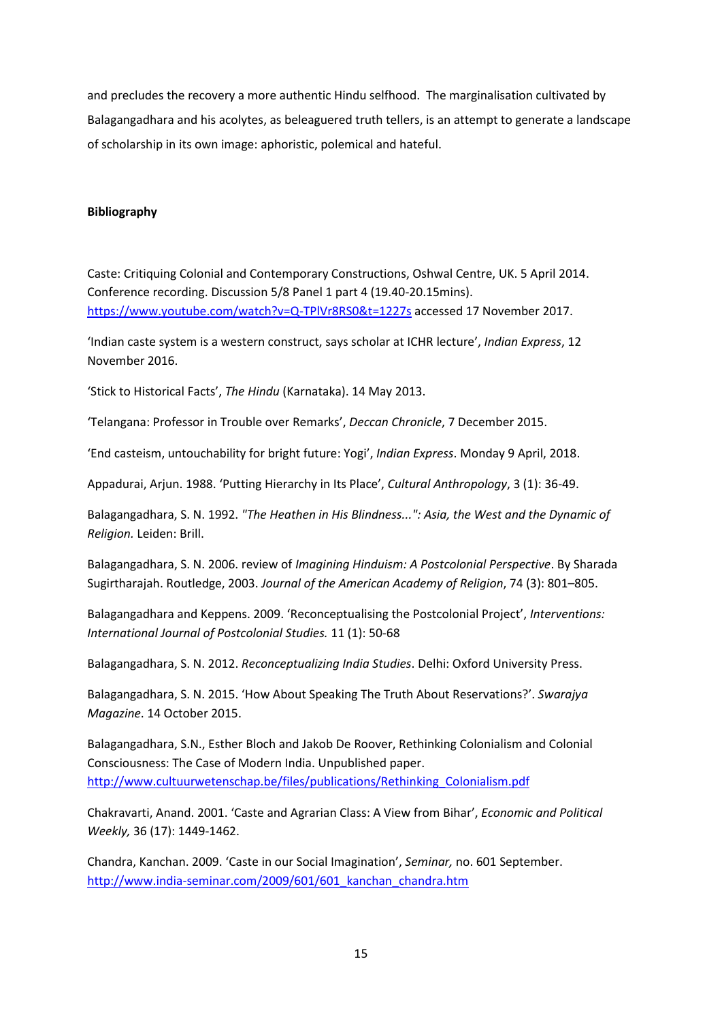and precludes the recovery a more authentic Hindu selfhood. The marginalisation cultivated by Balagangadhara and his acolytes, as beleaguered truth tellers, is an attempt to generate a landscape of scholarship in its own image: aphoristic, polemical and hateful.

# **Bibliography**

Caste: Critiquing Colonial and Contemporary Constructions, Oshwal Centre, UK. 5 April 2014. Conference recording. Discussion 5/8 Panel 1 part 4 (19.40-20.15mins). <https://www.youtube.com/watch?v=Q-TPlVr8RS0&t=1227s> accessed 17 November 2017.

'Indian caste system is a western construct, says scholar at ICHR lecture', *Indian Express*, 12 November 2016.

'Stick to Historical Facts', *The Hindu* (Karnataka). 14 May 2013.

'Telangana: Professor in Trouble over Remarks', *Deccan Chronicle*, 7 December 2015.

'End casteism, untouchability for bright future: Yogi', *Indian Express*. Monday 9 April, 2018.

Appadurai, Arjun. 1988. 'Putting Hierarchy in Its Place', *Cultural Anthropology*, 3 (1): 36-49.

Balagangadhara, S. N. 1992. *"The Heathen in His Blindness...": Asia, the West and the Dynamic of Religion.* Leiden: Brill.

Balagangadhara, S. N. 2006. review of *Imagining Hinduism: A Postcolonial Perspective*. By Sharada Sugirtharajah. Routledge, 2003. *Journal of the American Academy of Religion*, 74 (3): 801–805.

Balagangadhara and Keppens. 2009. 'Reconceptualising the Postcolonial Project', *Interventions: International Journal of Postcolonial Studies.* 11 (1): 50-68

Balagangadhara, S. N. 2012. *Reconceptualizing India Studies*. Delhi: Oxford University Press.

Balagangadhara, S. N. 2015. 'How About Speaking The Truth About Reservations?'. *Swarajya Magazine*. 14 October 2015.

Balagangadhara, S.N., Esther Bloch and Jakob De Roover, Rethinking Colonialism and Colonial Consciousness: The Case of Modern India. Unpublished paper. [http://www.cultuurwetenschap.be/files/publications/Rethinking\\_Colonialism.pdf](http://www.cultuurwetenschap.be/files/publications/Rethinking_Colonialism.pdf)

Chakravarti, Anand. 2001. 'Caste and Agrarian Class: A View from Bihar', *Economic and Political Weekly,* 36 (17): 1449-1462.

Chandra, Kanchan. 2009. 'Caste in our Social Imagination', *Seminar,* no. 601 September. [http://www.india-seminar.com/2009/601/601\\_kanchan\\_chandra.htm](http://www.india-seminar.com/2009/601/601_kanchan_chandra.htm)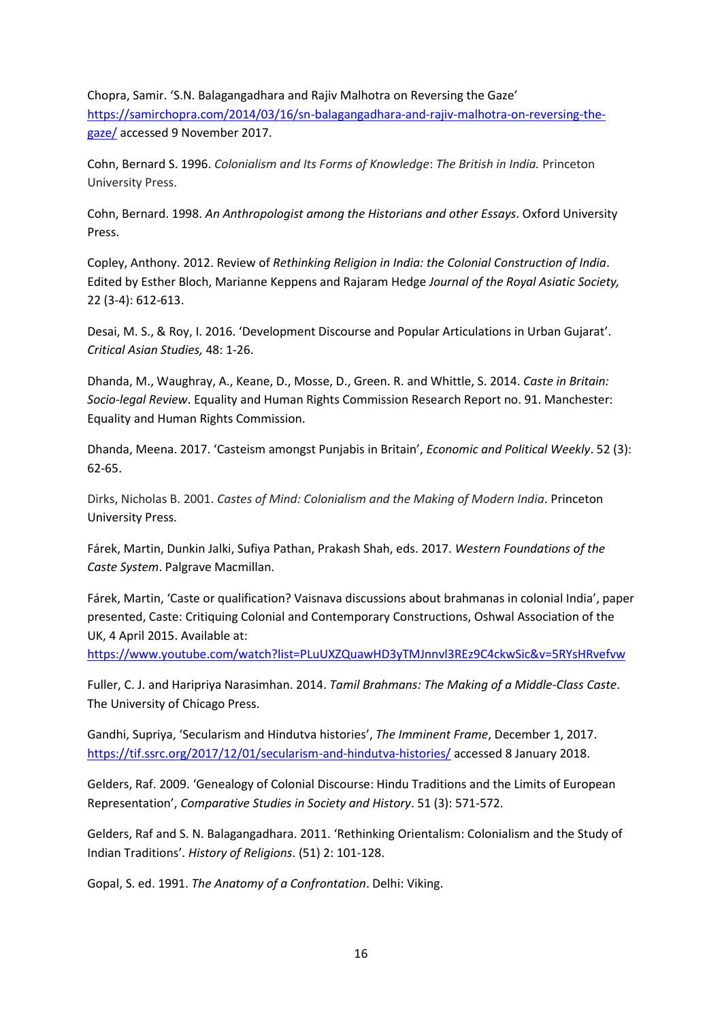Chopra, Samir. 'S.N. Balagangadhara and Rajiv Malhotra on Reversing the Gaze' [https://samirchopra.com/2014/03/16/sn-balagangadhara-and-rajiv-malhotra-on-reversing-the](https://samirchopra.com/2014/03/16/sn-balagangadhara-and-rajiv-malhotra-on-reversing-the-gaze/)[gaze/](https://samirchopra.com/2014/03/16/sn-balagangadhara-and-rajiv-malhotra-on-reversing-the-gaze/) accessed 9 November 2017.

Cohn, Bernard S. 1996. *Colonialism and Its Forms of Knowledge*: *The British in India.* Princeton University Press.

Cohn, Bernard. 1998. *An Anthropologist among the Historians and other Essays*. Oxford University Press.

Copley, Anthony. 2012. Review of *Rethinking Religion in India: the Colonial Construction of India*. Edited by Esther Bloch, Marianne Keppens and Rajaram Hedge *Journal of the Royal Asiatic Society,* 22 (3-4): 612-613.

Desai, M. S., & Roy, I. 2016. 'Development Discourse and Popular Articulations in Urban Gujarat'. *Critical Asian Studies,* 48: 1-26.

Dhanda, M., Waughray, A., Keane, D., Mosse, D., Green. R. and Whittle, S. 2014. *Caste in Britain: Socio-legal Review*. Equality and Human Rights Commission Research Report no. 91. Manchester: Equality and Human Rights Commission.

Dhanda, Meena. 2017. 'Casteism amongst Punjabis in Britain', *Economic and Political Weekly*. 52 (3): 62-65.

Dirks, Nicholas B. 2001. *Castes of Mind: Colonialism and the Making of Modern India*. Princeton University Press.

Fárek, Martin, Dunkin Jalki, Sufiya Pathan, Prakash Shah, eds. 2017. *Western Foundations of the Caste System*. Palgrave Macmillan.

Fárek, Martin, 'Caste or qualification? Vaisnava discussions about brahmanas in colonial India', paper presented, Caste: Critiquing Colonial and Contemporary Constructions, Oshwal Association of the UK, 4 April 2015. Available at:

<https://www.youtube.com/watch?list=PLuUXZQuawHD3yTMJnnvl3REz9C4ckwSic&v=5RYsHRvefvw>

Fuller, C. J. and Haripriya Narasimhan. 2014. *Tamil Brahmans: The Making of a Middle-Class Caste*. The University of Chicago Press.

Gandhi, Supriya, 'Secularism and Hindutva histories', *The Imminent Frame*, December 1, 2017. <https://tif.ssrc.org/2017/12/01/secularism-and-hindutva-histories/> accessed 8 January 2018.

Gelders, Raf. 2009. 'Genealogy of Colonial Discourse: Hindu Traditions and the Limits of European Representation', *Comparative Studies in Society and History*. 51 (3): 571-572.

Gelders, Raf and S. N. Balagangadhara. 2011. 'Rethinking Orientalism: Colonialism and the Study of Indian Traditions'. *History of Religions*. (51) 2: 101-128.

Gopal, S. ed. 1991. *The Anatomy of a Confrontation*. Delhi: Viking.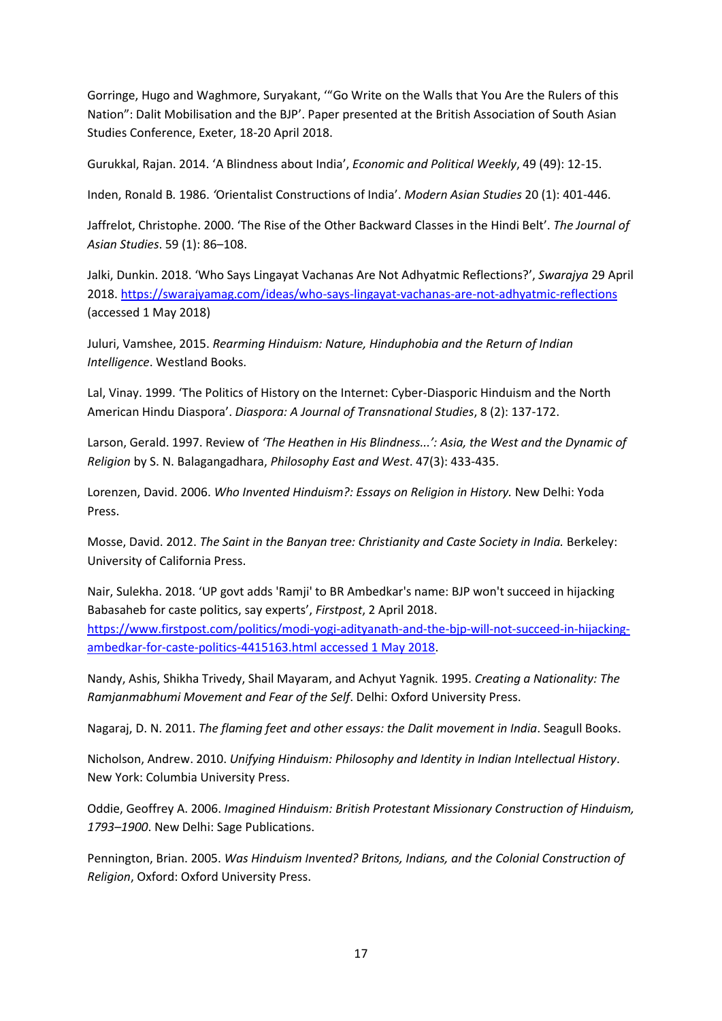Gorringe, Hugo and Waghmore, Suryakant, '"Go Write on the Walls that You Are the Rulers of this Nation": Dalit Mobilisation and the BJP'. Paper presented at the British Association of South Asian Studies Conference, Exeter, 18-20 April 2018.

Gurukkal, Rajan. 2014. 'A Blindness about India', *Economic and Political Weekly*, 49 (49): 12-15.

Inden, Ronald B*.* 1986. *'*Orientalist Constructions of India'. *Modern Asian Studies* 20 (1): 401-446.

Jaffrelot, Christophe. 2000. 'The Rise of the Other Backward Classes in the Hindi Belt'. *The Journal of Asian Studies*. 59 (1): 86–108.

Jalki, Dunkin. 2018. 'Who Says Lingayat Vachanas Are Not Adhyatmic Reflections?', *Swarajya* 29 April 2018[. https://swarajyamag.com/ideas/who-says-lingayat-vachanas-are-not-adhyatmic-reflections](https://swarajyamag.com/ideas/who-says-lingayat-vachanas-are-not-adhyatmic-reflections) (accessed 1 May 2018)

Juluri, Vamshee, 2015. *Rearming Hinduism: Nature, Hinduphobia and the Return of Indian Intelligence*. Westland Books.

Lal, Vinay. 1999. 'The Politics of History on the Internet: Cyber-Diasporic Hinduism and the North American Hindu Diaspora'. *Diaspora: A Journal of Transnational Studies*, 8 (2): 137-172.

Larson, Gerald. 1997. Review of *'The Heathen in His Blindness...': Asia, the West and the Dynamic of Religion* by S. N. Balagangadhara, *Philosophy East and West*. 47(3): 433-435.

Lorenzen, David. 2006. *Who Invented Hinduism?: Essays on Religion in History.* New Delhi: Yoda Press.

Mosse, David. 2012. *The Saint in the Banyan tree: Christianity and Caste Society in India.* Berkeley: University of California Press.

Nair, Sulekha. 2018. 'UP govt adds 'Ramji' to BR Ambedkar's name: BJP won't succeed in hijacking Babasaheb for caste politics, say experts', *Firstpost*, 2 April 2018.

[https://www.firstpost.com/politics/modi-yogi-adityanath-and-the-bjp-will-not-succeed-in-hijacking](https://www.firstpost.com/politics/modi-yogi-adityanath-and-the-bjp-will-not-succeed-in-hijacking-ambedkar-for-caste-politics-4415163.html%20accessed%201%20May%202018)[ambedkar-for-caste-politics-4415163.html accessed 1 May 2018.](https://www.firstpost.com/politics/modi-yogi-adityanath-and-the-bjp-will-not-succeed-in-hijacking-ambedkar-for-caste-politics-4415163.html%20accessed%201%20May%202018)

Nandy, Ashis, Shikha Trivedy, Shail Mayaram, and Achyut Yagnik. 1995. *Creating a Nationality: The Ramjanmabhumi Movement and Fear of the Self*. Delhi: Oxford University Press.

Nagaraj, D. N. 2011. *The flaming feet and other essays: the Dalit movement in India*. Seagull Books.

Nicholson, Andrew. 2010. *Unifying Hinduism: Philosophy and Identity in Indian Intellectual History*. New York: Columbia University Press.

Oddie, Geoffrey A. 2006. *Imagined Hinduism: British Protestant Missionary Construction of Hinduism, 1793–1900*. New Delhi: Sage Publications.

Pennington, Brian. 2005. *Was Hinduism Invented? Britons, Indians, and the Colonial Construction of Religion*, Oxford: Oxford University Press.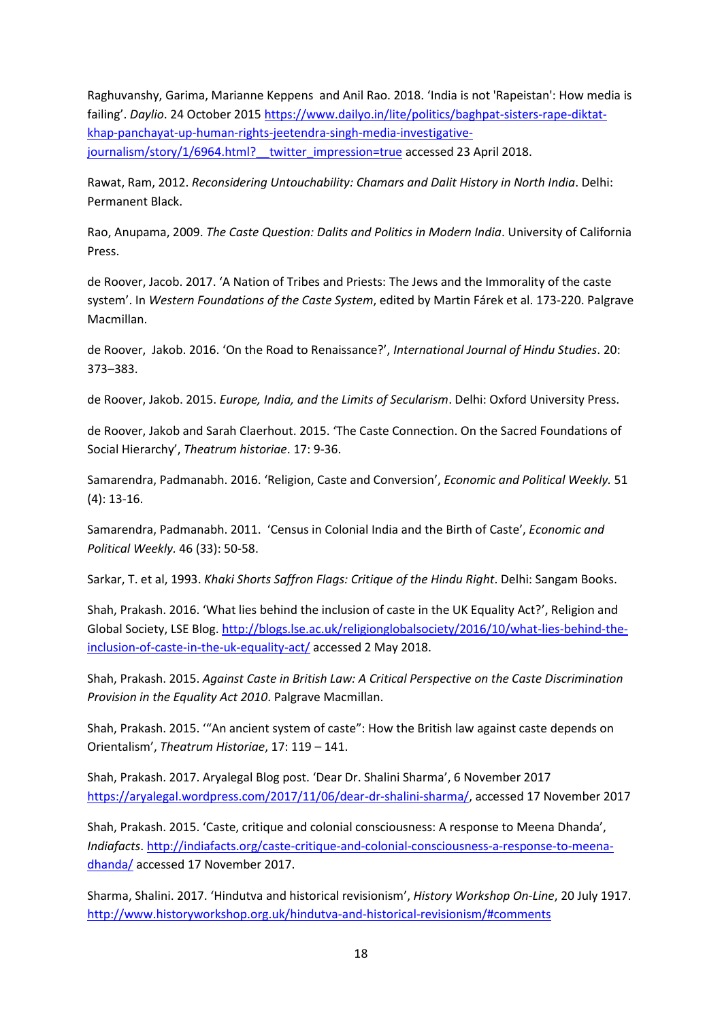Raghuvanshy, Garima, Marianne Keppens and Anil Rao. 2018. 'India is not 'Rapeistan': How media is failing'. *Daylio*. 24 October 2015 [https://www.dailyo.in/lite/politics/baghpat-sisters-rape-diktat](https://www.dailyo.in/lite/politics/baghpat-sisters-rape-diktat-khap-panchayat-up-human-rights-jeetendra-singh-media-investigative-journalism/story/1/6964.html?__twitter_impression=true)[khap-panchayat-up-human-rights-jeetendra-singh-media-investigative](https://www.dailyo.in/lite/politics/baghpat-sisters-rape-diktat-khap-panchayat-up-human-rights-jeetendra-singh-media-investigative-journalism/story/1/6964.html?__twitter_impression=true)journalism/story/1/6964.html? twitter impression=true accessed 23 April 2018.

Rawat, Ram, 2012. *Reconsidering Untouchability: Chamars and Dalit History in North India*. Delhi: Permanent Black.

Rao, Anupama, 2009. *The Caste Question: Dalits and Politics in Modern India*. University of California Press.

de Roover, Jacob. 2017. 'A Nation of Tribes and Priests: The Jews and the Immorality of the caste system'. In *Western Foundations of the Caste System*, edited by Martin Fárek et al. 173-220. Palgrave Macmillan.

de Roover, Jakob. 2016. 'On the Road to Renaissance?', *International Journal of Hindu Studies*. 20: 373–383.

de Roover, Jakob. 2015. *Europe, India, and the Limits of Secularism*. Delhi: Oxford University Press.

de Roover, Jakob and Sarah Claerhout. 2015. 'The Caste Connection. On the Sacred Foundations of Social Hierarchy', *Theatrum historiae*. 17: 9-36.

Samarendra, Padmanabh. 2016. 'Religion, Caste and Conversion', *Economic and Political Weekly.* 51 (4): 13-16.

Samarendra, Padmanabh. 2011. 'Census in Colonial India and the Birth of Caste', *Economic and Political Weekly.* 46 (33): 50-58.

Sarkar, T. et al, 1993. *Khaki Shorts Saffron Flags: Critique of the Hindu Right*. Delhi: Sangam Books.

Shah, Prakash. 2016. 'What lies behind the inclusion of caste in the UK Equality Act?', Religion and Global Society, LSE Blog. [http://blogs.lse.ac.uk/religionglobalsociety/2016/10/what-lies-behind-the](http://blogs.lse.ac.uk/religionglobalsociety/2016/10/what-lies-behind-the-inclusion-of-caste-in-the-uk-equality-act/)[inclusion-of-caste-in-the-uk-equality-act/](http://blogs.lse.ac.uk/religionglobalsociety/2016/10/what-lies-behind-the-inclusion-of-caste-in-the-uk-equality-act/) accessed 2 May 2018.

Shah, Prakash. 2015. *Against Caste in British Law: A Critical Perspective on the Caste Discrimination Provision in the Equality Act 2010*. Palgrave Macmillan.

Shah, Prakash. 2015. '"An ancient system of caste": How the British law against caste depends on Orientalism', *Theatrum Historiae*, 17: 119 – 141.

Shah, Prakash. 2017. Aryalegal Blog post. 'Dear Dr. Shalini Sharma', 6 November 2017 [https://aryalegal.wordpress.com/2017/11/06/dear-dr-shalini-sharma/,](https://aryalegal.wordpress.com/2017/11/06/dear-dr-shalini-sharma/) accessed 17 November 2017

Shah, Prakash. 2015. 'Caste, critique and colonial consciousness: A response to Meena Dhanda', *Indiafacts*. [http://indiafacts.org/caste-critique-and-colonial-consciousness-a-response-to-meena](http://indiafacts.org/caste-critique-and-colonial-consciousness-a-response-to-meena-dhanda/)[dhanda/](http://indiafacts.org/caste-critique-and-colonial-consciousness-a-response-to-meena-dhanda/) accessed 17 November 2017.

Sharma, Shalini. 2017. 'Hindutva and historical revisionism', *History Workshop On-Line*, 20 July 1917. <http://www.historyworkshop.org.uk/hindutva-and-historical-revisionism/#comments>